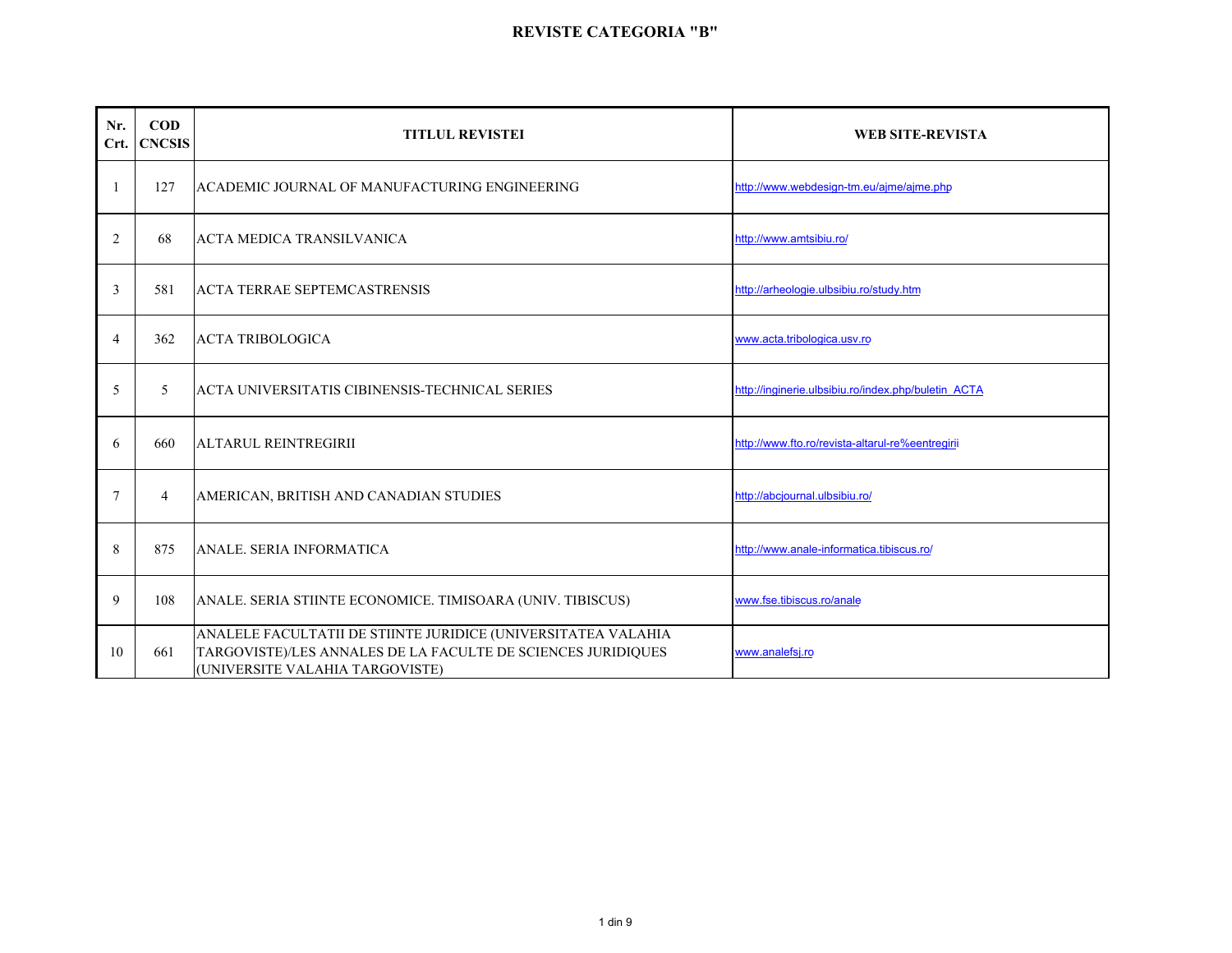| Nr.<br>Crt.    | $\mathbf{COD}$<br><b>CNCSIS</b> | <b>TITLUL REVISTEI</b>                                                                                                                                           | <b>WEB SITE-REVISTA</b>                             |
|----------------|---------------------------------|------------------------------------------------------------------------------------------------------------------------------------------------------------------|-----------------------------------------------------|
|                | 127                             | ACADEMIC JOURNAL OF MANUFACTURING ENGINEERING                                                                                                                    | http://www.webdesign-tm.eu/ajme/ajme.php            |
| $\overline{2}$ | 68                              | <b>ACTA MEDICA TRANSILVANICA</b>                                                                                                                                 | http://www.amtsibiu.ro/                             |
| 3              | 581                             | <b>ACTA TERRAE SEPTEMCASTRENSIS</b>                                                                                                                              | http://arheologie.ulbsibiu.ro/study.htm             |
| $\overline{4}$ | 362                             | <b>ACTA TRIBOLOGICA</b>                                                                                                                                          | www.acta.tribologica.usv.ro                         |
| 5              | 5                               | ACTA UNIVERSITATIS CIBINENSIS-TECHNICAL SERIES                                                                                                                   | http://inqinerie.ulbsibiu.ro/index.php/buletin ACTA |
| 6              | 660                             | <b>ALTARUL REINTREGIRII</b>                                                                                                                                      | http://www.fto.ro/revista-altarul-re%eentregirii    |
| 7              | 4                               | AMERICAN, BRITISH AND CANADIAN STUDIES                                                                                                                           | http://abcjournal.ulbsibiu.ro/                      |
| 8              | 875                             | ANALE. SERIA INFORMATICA                                                                                                                                         | http://www.anale-informatica.tibiscus.ro/           |
| 9              | 108                             | ANALE. SERIA STIINTE ECONOMICE. TIMISOARA (UNIV. TIBISCUS)                                                                                                       | www.fse.tibiscus.ro/anale                           |
| 10             | 661                             | ANALELE FACULTATII DE STIINTE JURIDICE (UNIVERSITATEA VALAHIA<br>TARGOVISTE)/LES ANNALES DE LA FACULTE DE SCIENCES JURIDIQUES<br>(UNIVERSITE VALAHIA TARGOVISTE) | www.analefsj.ro                                     |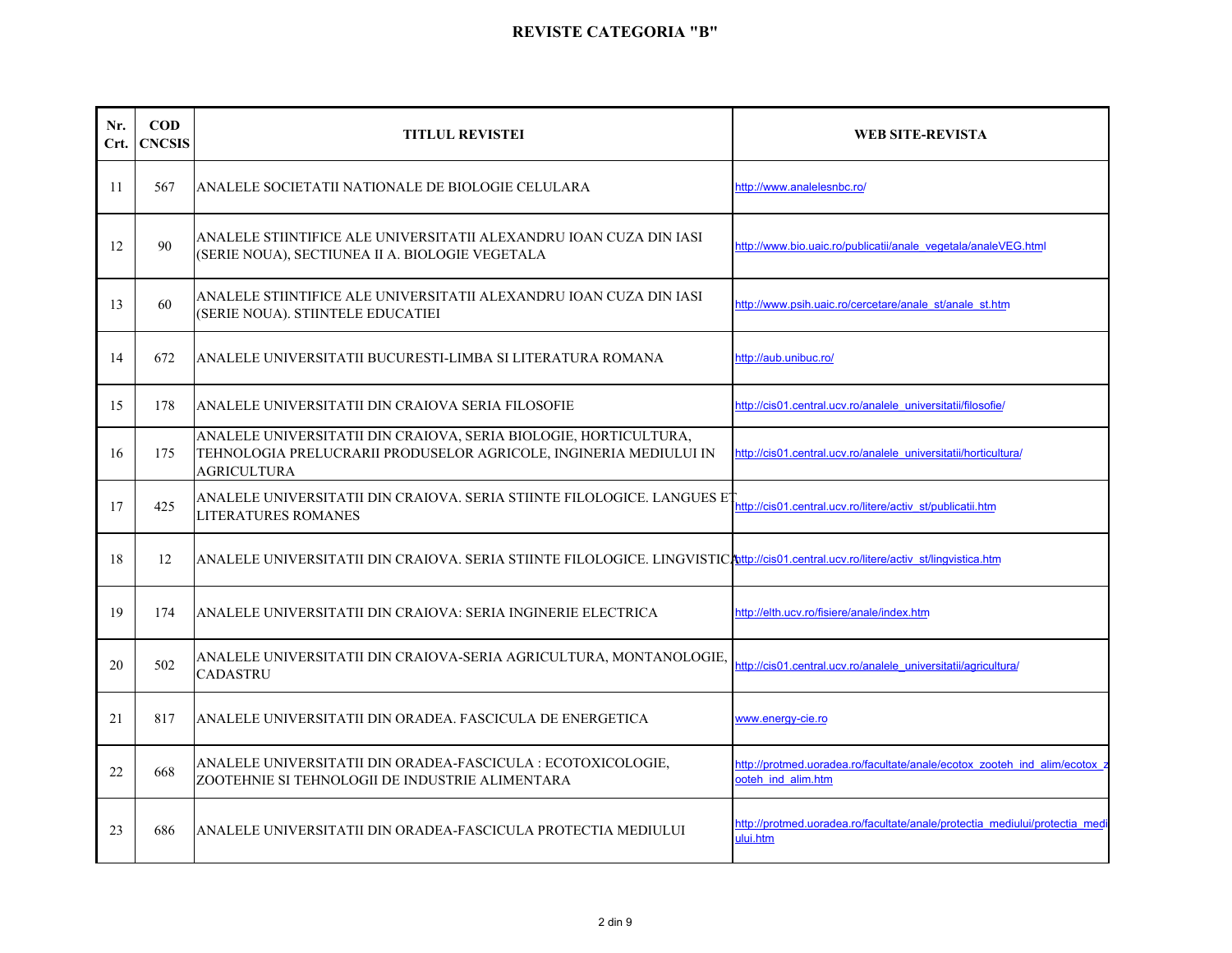| Nr.<br>Crt. | $\mathbf{COD}$<br><b>CNCSIS</b> | <b>TITLUL REVISTEI</b>                                                                                                                                           | WEB SITE-REVISTA                                                                              |
|-------------|---------------------------------|------------------------------------------------------------------------------------------------------------------------------------------------------------------|-----------------------------------------------------------------------------------------------|
| 11          | 567                             | ANALELE SOCIETATII NATIONALE DE BIOLOGIE CELULARA                                                                                                                | http://www.analelesnbc.ro/                                                                    |
| 12          | 90                              | ANALELE STIINTIFICE ALE UNIVERSITATII ALEXANDRU IOAN CUZA DIN IASI<br>(SERIE NOUA), SECTIUNEA II A. BIOLOGIE VEGETALA                                            | http://www.bio.uaic.ro/publicatii/anale_vegetala/analeVEG.html                                |
| 13          | 60                              | ANALELE STIINTIFICE ALE UNIVERSITATII ALEXANDRU IOAN CUZA DIN IASI<br>(SERIE NOUA). STIINTELE EDUCATIEI                                                          | http://www.psih.uaic.ro/cercetare/anale_st/anale_st.htm                                       |
| 14          | 672                             | ANALELE UNIVERSITATII BUCURESTI-LIMBA SI LITERATURA ROMANA                                                                                                       | http://aub.unibuc.ro/                                                                         |
| 15          | 178                             | ANALELE UNIVERSITATII DIN CRAIOVA SERIA FILOSOFIE                                                                                                                | http://cis01.central.ucv.ro/analele_universitatii/filosofie/                                  |
| 16          | 175                             | ANALELE UNIVERSITATII DIN CRAIOVA, SERIA BIOLOGIE, HORTICULTURA,<br>TEHNOLOGIA PRELUCRARII PRODUSELOR AGRICOLE, INGINERIA MEDIULUI IN<br><b>AGRICULTURA</b>      | http://cis01.central.ucv.ro/analele_universitatii/horticultura/                               |
| 17          | 425                             | ANALELE UNIVERSITATII DIN CRAIOVA. SERIA STIINTE FILOLOGICE. LANGUES ET http://cis01.central.ucv.ro/litere/activ_st/publicatii.htm<br><b>LITERATURES ROMANES</b> |                                                                                               |
| 18          | 12                              | ANALELE UNIVERSITATII DIN CRAIOVA. SERIA STIINTE FILOLOGICE. LINGVISTIC/http://cis01.central.ucv.ro/litere/activ_st/lingvistica.htm                              |                                                                                               |
| 19          | 174                             | ANALELE UNIVERSITATII DIN CRAIOVA: SERIA INGINERIE ELECTRICA                                                                                                     | http://elth.ucv.ro/fisiere/anale/index.htm                                                    |
| 20          | 502                             | ANALELE UNIVERSITATII DIN CRAIOVA-SERIA AGRICULTURA, MONTANOLOGIE,<br><b>CADASTRU</b>                                                                            | http://cis01.central.ucv.ro/analele universitatii/agricultura/                                |
| 21          | 817                             | ANALELE UNIVERSITATII DIN ORADEA. FASCICULA DE ENERGETICA                                                                                                        | www.energy-cie.ro                                                                             |
| 22          | 668                             | ANALELE UNIVERSITATII DIN ORADEA-FASCICULA : ECOTOXICOLOGIE,<br>ZOOTEHNIE SI TEHNOLOGII DE INDUSTRIE ALIMENTARA                                                  | http://protmed.uoradea.ro/facultate/anale/ecotox_zooteh_ind_alim/ecotox<br>ooteh ind alim.htm |
| 23          | 686                             | ANALELE UNIVERSITATII DIN ORADEA-FASCICULA PROTECTIA MEDIULUI                                                                                                    | http://protmed.uoradea.ro/facultate/anale/protectia mediului/protectia med<br>ului.htm        |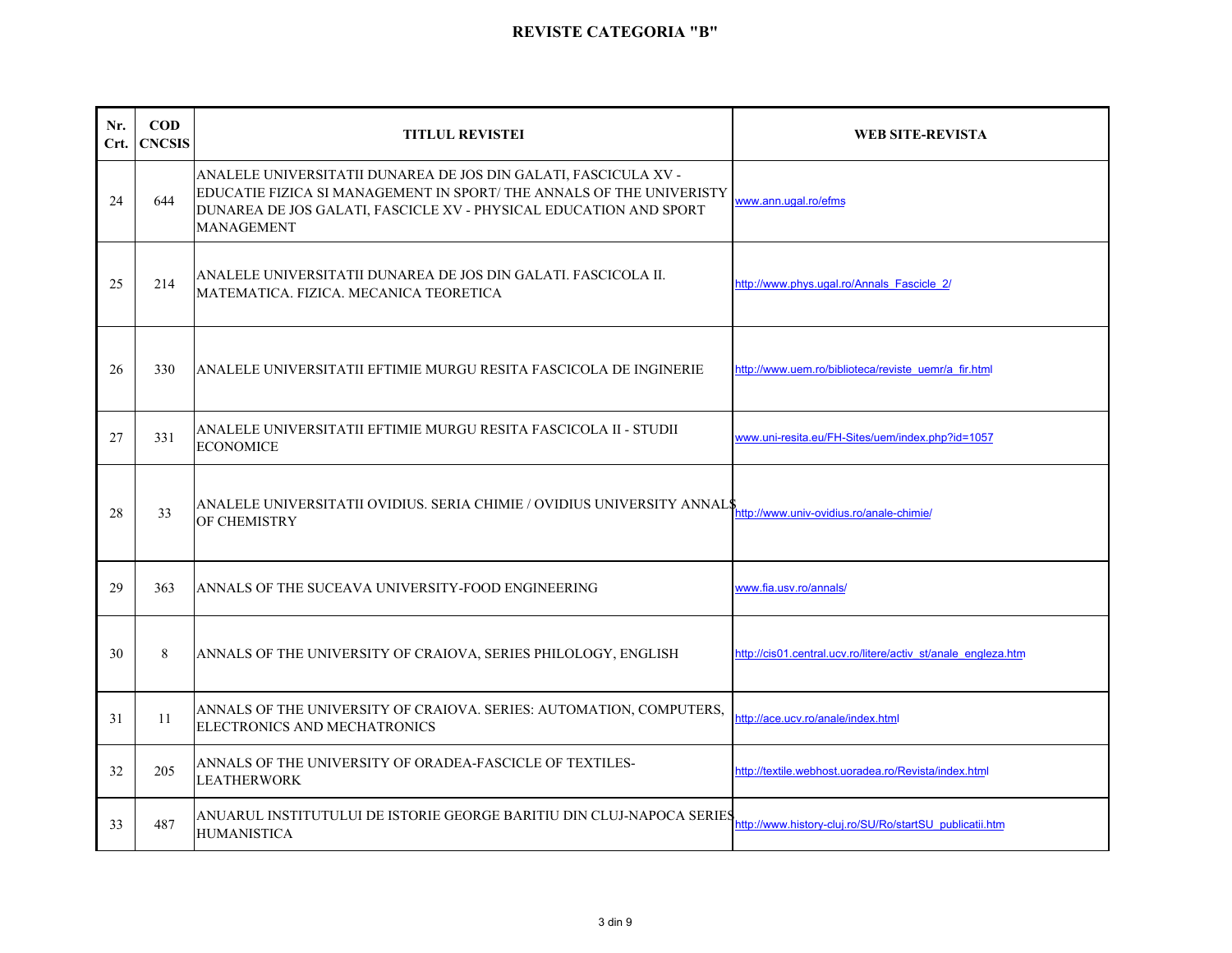| Nr.<br>Crt. | $\bf{COD}$<br><b>CNCSIS</b> | <b>TITLUL REVISTEI</b>                                                                                                                                                                                                           | <b>WEB SITE-REVISTA</b>                                       |
|-------------|-----------------------------|----------------------------------------------------------------------------------------------------------------------------------------------------------------------------------------------------------------------------------|---------------------------------------------------------------|
| 24          | 644                         | ANALELE UNIVERSITATII DUNAREA DE JOS DIN GALATI, FASCICULA XV -<br>EDUCATIE FIZICA SI MANAGEMENT IN SPORT/THE ANNALS OF THE UNIVERISTY<br>DUNAREA DE JOS GALATI, FASCICLE XV - PHYSICAL EDUCATION AND SPORT<br><b>MANAGEMENT</b> | www.ann.ugal.ro/efms                                          |
| 25          | 214                         | ANALELE UNIVERSITATII DUNAREA DE JOS DIN GALATI. FASCICOLA II.<br>MATEMATICA. FIZICA. MECANICA TEORETICA                                                                                                                         | http://www.phys.ugal.ro/Annals Fascicle 2/                    |
| 26          | 330                         | ANALELE UNIVERSITATII EFTIMIE MURGU RESITA FASCICOLA DE INGINERIE                                                                                                                                                                | http://www.uem.ro/biblioteca/reviste_uemr/a_fir.html          |
| 27          | 331                         | ANALELE UNIVERSITATII EFTIMIE MURGU RESITA FASCICOLA II - STUDII<br><b>ECONOMICE</b>                                                                                                                                             | www.uni-resita.eu/FH-Sites/uem/index.php?id=1057              |
| 28          | 33                          | ANALELE UNIVERSITATII OVIDIUS. SERIA CHIMIE / OVIDIUS UNIVERSITY ANNAL\$<br>OF CHEMISTRY                                                                                                                                         | http://www.univ-ovidius.ro/anale-chimie/                      |
| 29          | 363                         | ANNALS OF THE SUCEAVA UNIVERSITY-FOOD ENGINEERING                                                                                                                                                                                | www.fia.usv.ro/annals/                                        |
| 30          | 8                           | ANNALS OF THE UNIVERSITY OF CRAIOVA, SERIES PHILOLOGY, ENGLISH                                                                                                                                                                   | http://cis01.central.ucv.ro/litere/activ st/anale engleza.htm |
| 31          | 11                          | ANNALS OF THE UNIVERSITY OF CRAIOVA. SERIES: AUTOMATION, COMPUTERS,<br>ELECTRONICS AND MECHATRONICS                                                                                                                              | http://ace.ucv.ro/anale/index.html                            |
| 32          | 205                         | ANNALS OF THE UNIVERSITY OF ORADEA-FASCICLE OF TEXTILES-<br><b>LEATHERWORK</b>                                                                                                                                                   | http://textile.webhost.uoradea.ro/Revista/index.html          |
| 33          | 487                         | ANUARUL INSTITUTULUI DE ISTORIE GEORGE BARITIU DIN CLUJ-NAPOCA SERIES<br><b>HUMANISTICA</b>                                                                                                                                      | http://www.history-clui.ro/SU/Ro/startSU publicatii.htm       |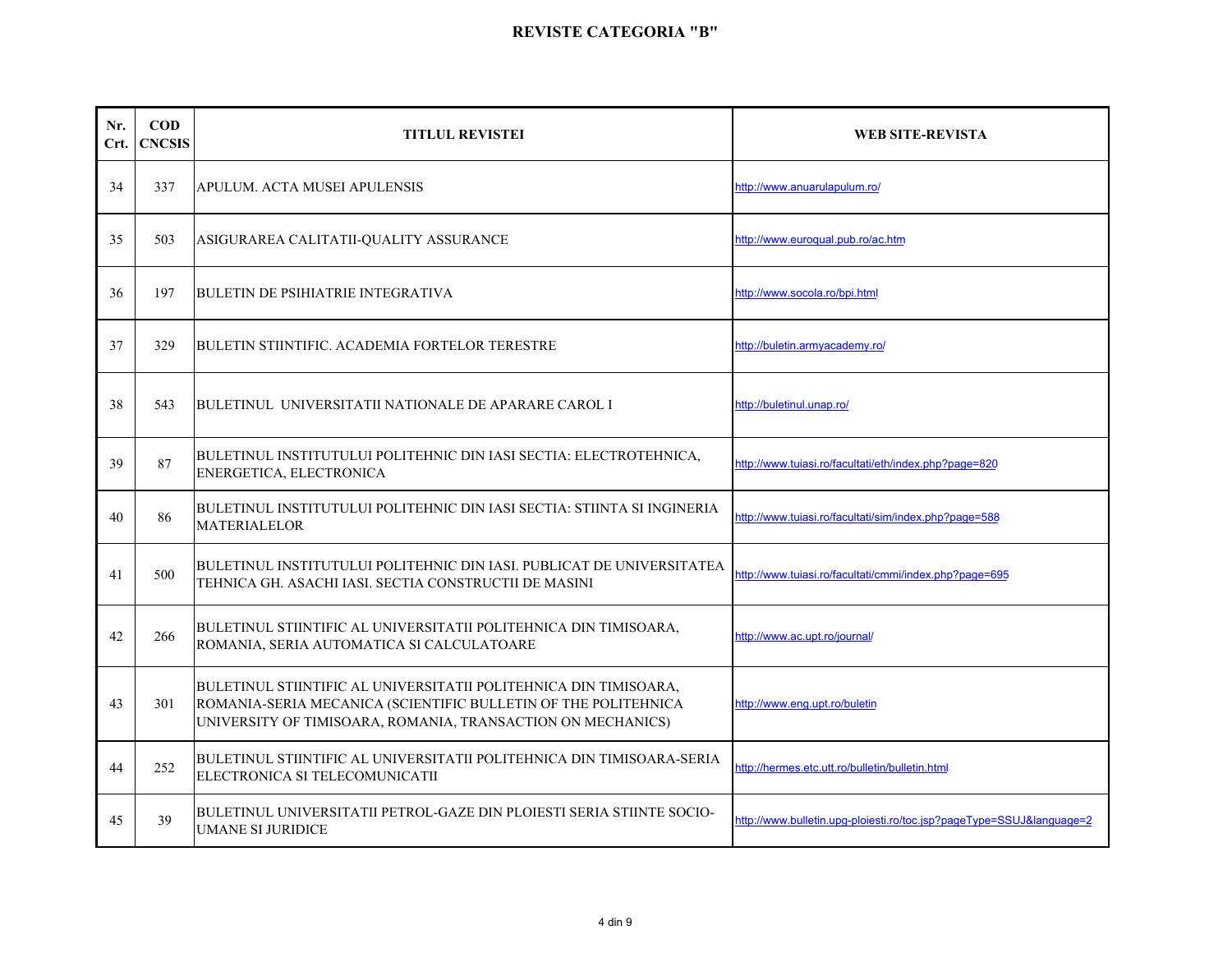| Nr.<br>Crt. | $\bf{COD}$<br><b>CNCSIS</b> | <b>TITLUL REVISTEI</b>                                                                                                                                                                            | <b>WEB SITE-REVISTA</b>                                              |
|-------------|-----------------------------|---------------------------------------------------------------------------------------------------------------------------------------------------------------------------------------------------|----------------------------------------------------------------------|
| 34          | 337                         | APULUM. ACTA MUSEI APULENSIS                                                                                                                                                                      | http://www.anuarulapulum.ro/                                         |
| 35          | 503                         | ASIGURAREA CALITATII-QUALITY ASSURANCE                                                                                                                                                            | http://www.euroqual.pub.ro/ac.htm                                    |
| 36          | 197                         | <b>BULETIN DE PSIHIATRIE INTEGRATIVA</b>                                                                                                                                                          | http://www.socola.ro/bpi.html                                        |
| 37          | 329                         | BULETIN STIINTIFIC. ACADEMIA FORTELOR TERESTRE                                                                                                                                                    | http://buletin.armyacademy.ro/                                       |
| 38          | 543                         | BULETINUL UNIVERSITATII NATIONALE DE APARARE CAROL I                                                                                                                                              | http://buletinul.unap.ro/                                            |
| 39          | 87                          | BULETINUL INSTITUTULUI POLITEHNIC DIN IASI SECTIA: ELECTROTEHNICA,<br>ENERGETICA, ELECTRONICA                                                                                                     | http://www.tuiasi.ro/facultati/eth/index.php?page=820                |
| 40          | 86                          | BULETINUL INSTITUTULUI POLITEHNIC DIN IASI SECTIA: STIINTA SI INGINERIA<br><b>MATERIALELOR</b>                                                                                                    | http://www.tujasi.ro/facultati/sim/index.php?page=588                |
| 41          | 500                         | BULETINUL INSTITUTULUI POLITEHNIC DIN IASI. PUBLICAT DE UNIVERSITATEA<br>TEHNICA GH. ASACHI IASI. SECTIA CONSTRUCTII DE MASINI                                                                    | http://www.tuiasi.ro/facultati/cmmi/index.php?page=695               |
| 42          | 266                         | BULETINUL STIINTIFIC AL UNIVERSITATII POLITEHNICA DIN TIMISOARA,<br>ROMANIA, SERIA AUTOMATICA SI CALCULATOARE                                                                                     | http://www.ac.upt.ro/journal/                                        |
| 43          | 301                         | BULETINUL STIINTIFIC AL UNIVERSITATII POLITEHNICA DIN TIMISOARA,<br>ROMANIA-SERIA MECANICA (SCIENTIFIC BULLETIN OF THE POLITEHNICA<br>UNIVERSITY OF TIMISOARA, ROMANIA, TRANSACTION ON MECHANICS) | http://www.eng.upt.ro/buletin                                        |
| 44          | 252                         | BULETINUL STIINTIFIC AL UNIVERSITATII POLITEHNICA DIN TIMISOARA-SERIA<br>ELECTRONICA SI TELECOMUNICATII                                                                                           | http://hermes.etc.utt.ro/bulletin/bulletin.html                      |
| 45          | 39                          | BULETINUL UNIVERSITATII PETROL-GAZE DIN PLOIESTI SERIA STIINTE SOCIO-<br><b>UMANE SI JURIDICE</b>                                                                                                 | http://www.bulletin.upg-ploiesti.ro/toc.jsp?pageType=SSUJ&language=2 |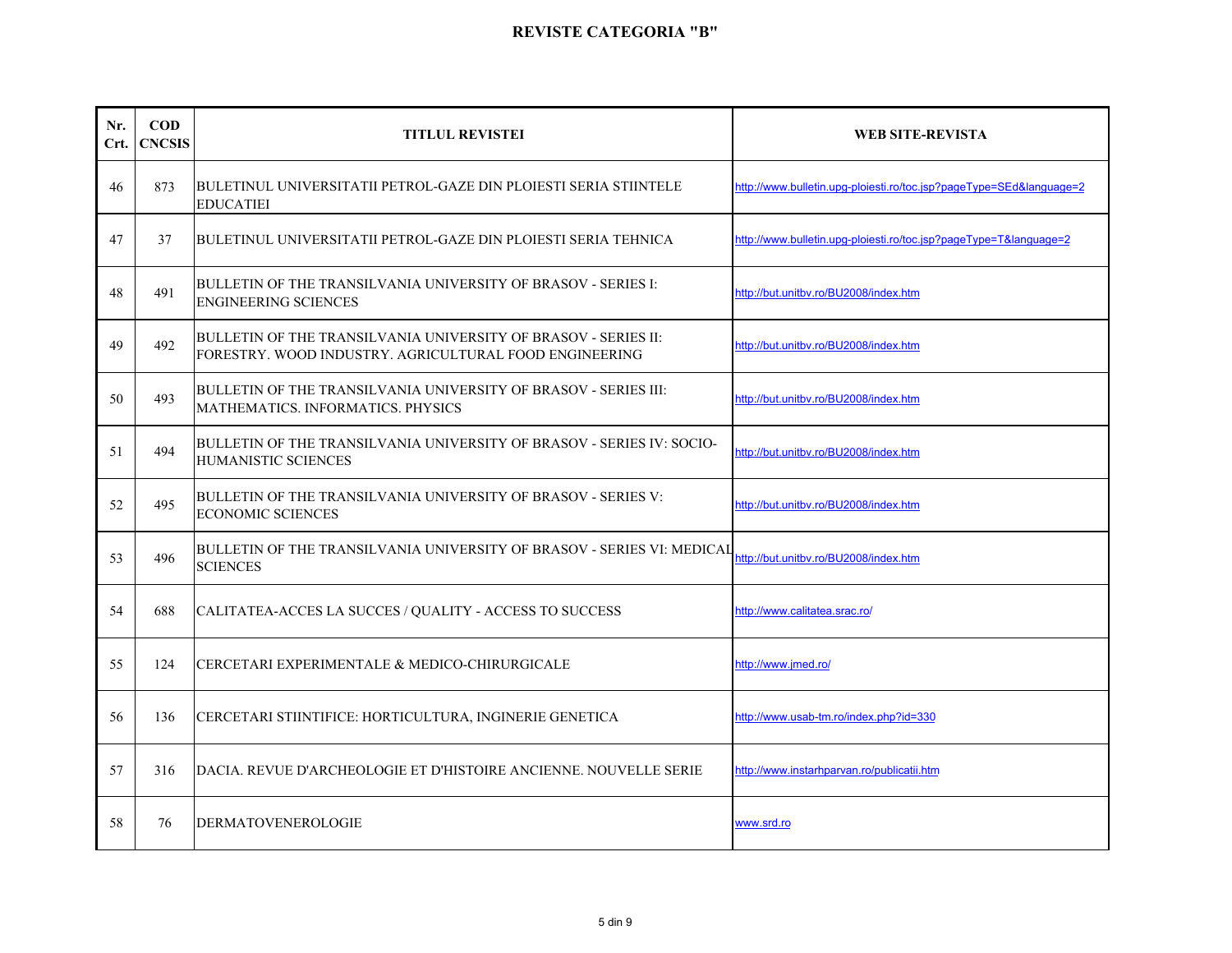| Nr.<br>Crt. | $\bf{COD}$<br><b>CNCSIS</b> | <b>TITLUL REVISTEI</b>                                                                                                   | <b>WEB SITE-REVISTA</b>                                             |
|-------------|-----------------------------|--------------------------------------------------------------------------------------------------------------------------|---------------------------------------------------------------------|
| 46          | 873                         | BULETINUL UNIVERSITATII PETROL-GAZE DIN PLOIESTI SERIA STIINTELE<br><b>EDUCATIEI</b>                                     | http://www.bulletin.upg-ploiesti.ro/toc.jsp?pageType=SEd&language=2 |
| 47          | 37                          | BULETINUL UNIVERSITATII PETROL-GAZE DIN PLOIESTI SERIA TEHNICA                                                           | http://www.bulletin.upq-ploiesti.ro/toc.jsp?pageType=T&language=2   |
| 48          | 491                         | BULLETIN OF THE TRANSILVANIA UNIVERSITY OF BRASOV - SERIES I:<br><b>ENGINEERING SCIENCES</b>                             | http://but.unitbv.ro/BU2008/index.htm                               |
| 49          | 492                         | BULLETIN OF THE TRANSILVANIA UNIVERSITY OF BRASOV - SERIES II:<br>FORESTRY. WOOD INDUSTRY. AGRICULTURAL FOOD ENGINEERING | http://but.unitbv.ro/BU2008/index.htm                               |
| 50          | 493                         | BULLETIN OF THE TRANSILVANIA UNIVERSITY OF BRASOV - SERIES III:<br>MATHEMATICS. INFORMATICS. PHYSICS                     | http://but.unitbv.ro/BU2008/index.htm                               |
| 51          | 494                         | BULLETIN OF THE TRANSILVANIA UNIVERSITY OF BRASOV - SERIES IV: SOCIO-<br>HUMANISTIC SCIENCES                             | http://but.unitbv.ro/BU2008/index.htm                               |
| 52          | 495                         | BULLETIN OF THE TRANSILVANIA UNIVERSITY OF BRASOV - SERIES V:<br><b>ECONOMIC SCIENCES</b>                                | http://but.unitbv.ro/BU2008/index.htm                               |
| 53          | 496                         | BULLETIN OF THE TRANSILVANIA UNIVERSITY OF BRASOV - SERIES VI: MEDICAL<br><b>SCIENCES</b>                                | http://but.unitbv.ro/BU2008/index.htm                               |
| 54          | 688                         | CALITATEA-ACCES LA SUCCES / QUALITY - ACCESS TO SUCCESS                                                                  | http://www.calitatea.srac.ro/                                       |
| 55          | 124                         | CERCETARI EXPERIMENTALE & MEDICO-CHIRURGICALE                                                                            | http://www.jmed.ro/                                                 |
| 56          | 136                         | CERCETARI STIINTIFICE: HORTICULTURA, INGINERIE GENETICA                                                                  | http://www.usab-tm.ro/index.php?id=330                              |
| 57          | 316                         | DACIA. REVUE D'ARCHEOLOGIE ET D'HISTOIRE ANCIENNE. NOUVELLE SERIE                                                        | http://www.instarhparvan.ro/publicatii.htm                          |
| 58          | 76                          | <b>DERMATOVENEROLOGIE</b>                                                                                                | www.srd.ro                                                          |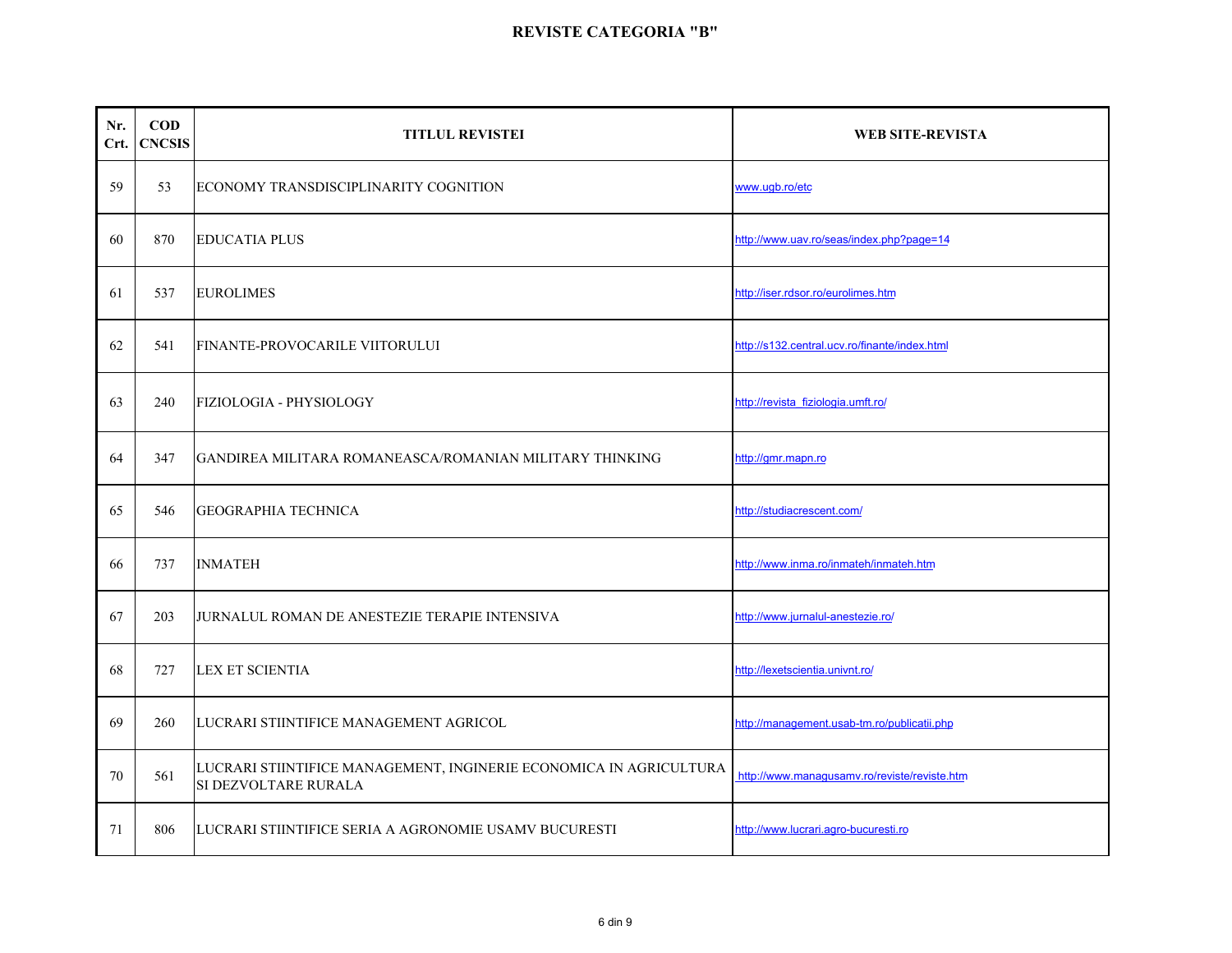| Nr.<br>Crt. | $\mathbf{COD}$<br><b>CNCSIS</b> | <b>TITLUL REVISTEI</b>                                                                     | WEB SITE-REVISTA                              |
|-------------|---------------------------------|--------------------------------------------------------------------------------------------|-----------------------------------------------|
| 59          | 53                              | ECONOMY TRANSDISCIPLINARITY COGNITION                                                      | www.ugb.ro/etc                                |
| 60          | 870                             | <b>EDUCATIA PLUS</b>                                                                       | http://www.uav.ro/seas/index.php?page=14      |
| 61          | 537                             | <b>EUROLIMES</b>                                                                           | http://iser.rdsor.ro/eurolimes.htm            |
| 62          | 541                             | FINANTE-PROVOCARILE VIITORULUI                                                             | http://s132.central.ucv.ro/finante/index.html |
| 63          | 240                             | <b>FIZIOLOGIA - PHYSIOLOGY</b>                                                             | http://revista_fiziologia.umft.ro/            |
| 64          | 347                             | GANDIREA MILITARA ROMANEASCA/ROMANIAN MILITARY THINKING                                    | http://gmr.mapn.ro                            |
| 65          | 546                             | <b>GEOGRAPHIA TECHNICA</b>                                                                 | http://studiacrescent.com/                    |
| 66          | 737                             | <b>INMATEH</b>                                                                             | http://www.inma.ro/inmateh/inmateh.htm        |
| 67          | 203                             | JURNALUL ROMAN DE ANESTEZIE TERAPIE INTENSIVA                                              | http://www.jurnalul-anestezie.ro/             |
| 68          | 727                             | <b>LEX ET SCIENTIA</b>                                                                     | http://lexetscientia.univnt.ro/               |
| 69          | 260                             | LUCRARI STIINTIFICE MANAGEMENT AGRICOL                                                     | http://management.usab-tm.ro/publicatii.php   |
| 70          | 561                             | LUCRARI STIINTIFICE MANAGEMENT, INGINERIE ECONOMICA IN AGRICULTURA<br>SI DEZVOLTARE RURALA | http://www.managusamv.ro/reviste/reviste.htm  |
| 71          | 806                             | LUCRARI STIINTIFICE SERIA A AGRONOMIE USAMV BUCURESTI                                      | http://www.lucrari.agro-bucuresti.ro          |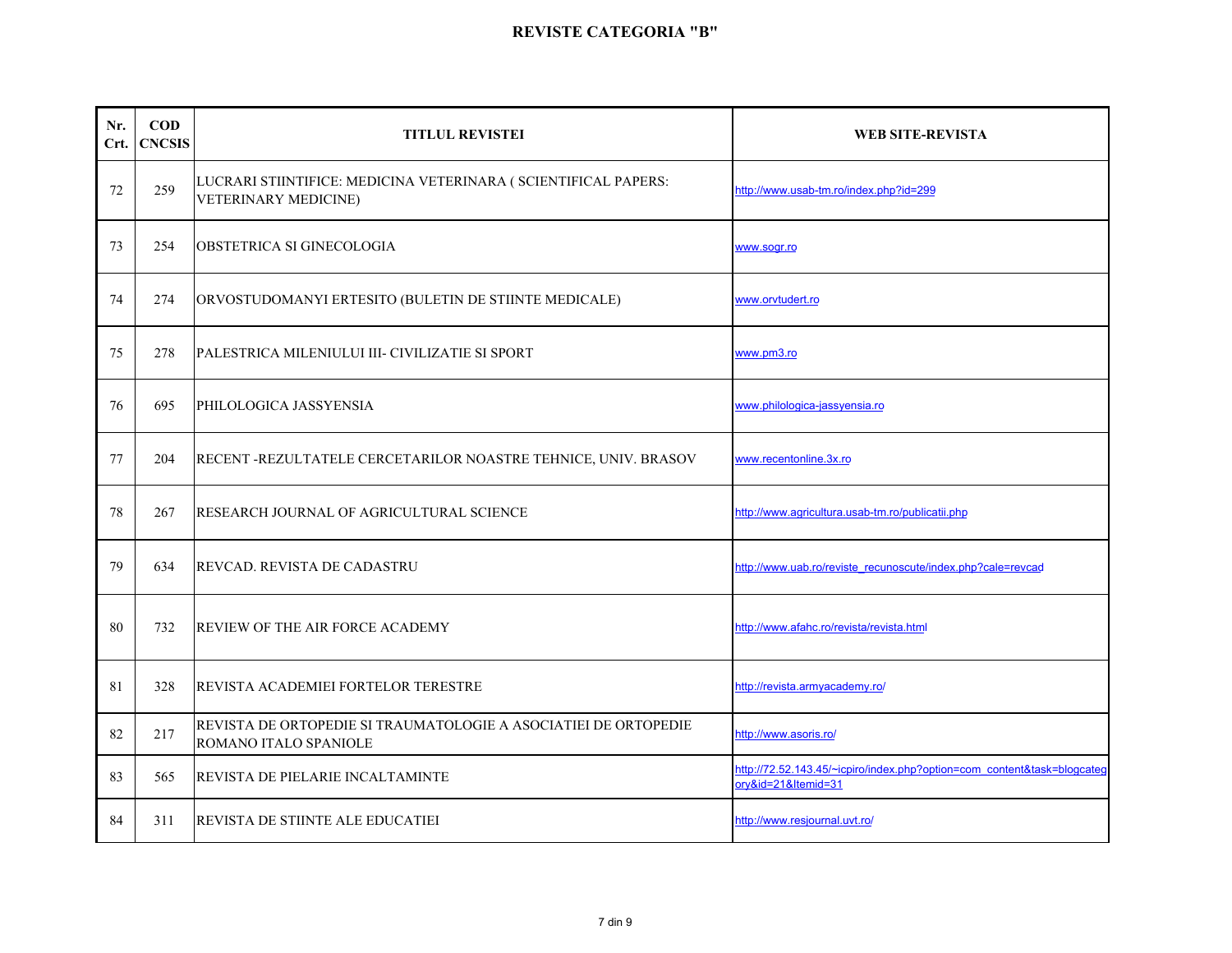| Nr.<br>Crt. | $\mathbf{COD}$<br><b>CNCSIS</b> | <b>TITLUL REVISTEI</b>                                                                   | <b>WEB SITE-REVISTA</b>                                                                        |
|-------------|---------------------------------|------------------------------------------------------------------------------------------|------------------------------------------------------------------------------------------------|
| 72          | 259                             | LUCRARI STIINTIFICE: MEDICINA VETERINARA (SCIENTIFICAL PAPERS:<br>VETERINARY MEDICINE)   | http://www.usab-tm.ro/index.php?id=299                                                         |
| 73          | 254                             | OBSTETRICA SI GINECOLOGIA                                                                | www.sogr.ro                                                                                    |
| 74          | 274                             | ORVOSTUDOMANYI ERTESITO (BULETIN DE STIINTE MEDICALE)                                    | www.orvtudert.ro                                                                               |
| 75          | 278                             | PALESTRICA MILENIULUI III- CIVILIZATIE SI SPORT                                          | www.pm3.ro                                                                                     |
| 76          | 695                             | PHILOLOGICA JASSYENSIA                                                                   | www.philologica-jassyensia.ro                                                                  |
| 77          | 204                             | RECENT -REZULTATELE CERCETARILOR NOASTRE TEHNICE, UNIV. BRASOV                           | www.recentonline.3x.ro                                                                         |
| 78          | 267                             | RESEARCH JOURNAL OF AGRICULTURAL SCIENCE                                                 | http://www.agricultura.usab-tm.ro/publicatii.php                                               |
| 79          | 634                             | REVCAD. REVISTA DE CADASTRU                                                              | http://www.uab.ro/reviste_recunoscute/index.php?cale=revcad                                    |
| 80          | 732                             | <b>REVIEW OF THE AIR FORCE ACADEMY</b>                                                   | http://www.afahc.ro/revista/revista.html                                                       |
| 81          | 328                             | REVISTA ACADEMIEI FORTELOR TERESTRE                                                      | http://revista.armyacademy.ro/                                                                 |
| 82          | 217                             | REVISTA DE ORTOPEDIE SI TRAUMATOLOGIE A ASOCIATIEI DE ORTOPEDIE<br>ROMANO ITALO SPANIOLE | http://www.asoris.ro/                                                                          |
| 83          | 565                             | REVISTA DE PIELARIE INCALTAMINTE                                                         | http://72.52.143.45/~icpiro/index.php?option=com content&task=blogcated<br>ory&id=21&Itemid=31 |
| 84          | 311                             | REVISTA DE STIINTE ALE EDUCATIEI                                                         | http://www.resjournal.uvt.ro/                                                                  |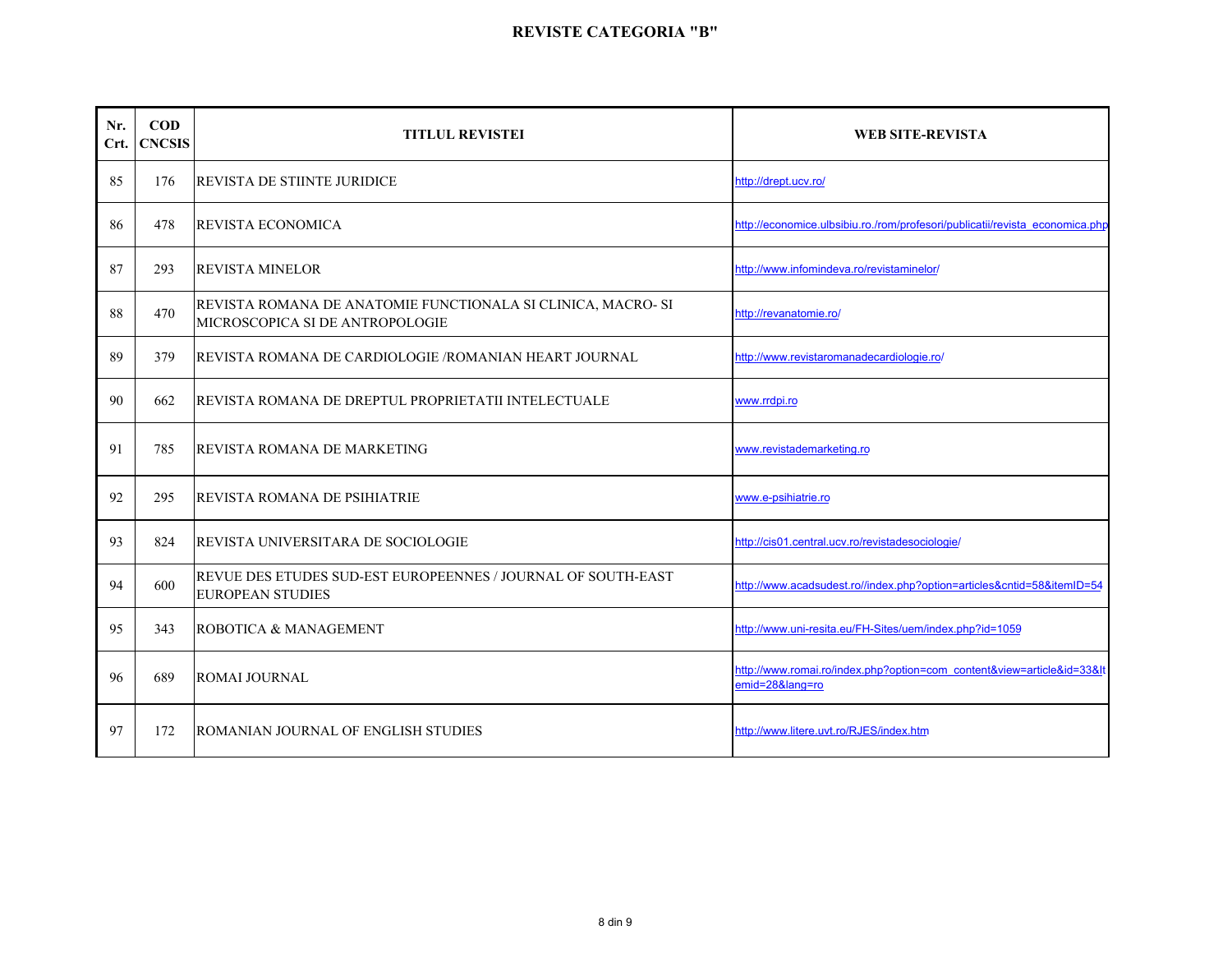| Nr.<br>Crt. | <b>COD</b><br><b>CNCSIS</b> | <b>TITLUL REVISTEI</b>                                                                          | <b>WEB SITE-REVISTA</b>                                                               |
|-------------|-----------------------------|-------------------------------------------------------------------------------------------------|---------------------------------------------------------------------------------------|
| 85          | 176                         | <b>REVISTA DE STIINTE JURIDICE</b>                                                              | http://drept.ucv.ro/                                                                  |
| 86          | 478                         | <b>REVISTA ECONOMICA</b>                                                                        | http://economice.ulbsibiu.ro./rom/profesori/publicatii/revista economica.php          |
| 87          | 293                         | <b>REVISTA MINELOR</b>                                                                          | http://www.infomindeva.ro/revistaminelor/                                             |
| 88          | 470                         | REVISTA ROMANA DE ANATOMIE FUNCTIONALA SI CLINICA, MACRO- SI<br>MICROSCOPICA SI DE ANTROPOLOGIE | http://revanatomie.ro/                                                                |
| 89          | 379                         | REVISTA ROMANA DE CARDIOLOGIE /ROMANIAN HEART JOURNAL                                           | http://www.revistaromanadecardiologie.ro/                                             |
| 90          | 662                         | REVISTA ROMANA DE DREPTUL PROPRIETATII INTELECTUALE                                             | www.rrdpi.ro                                                                          |
| 91          | 785                         | <b>REVISTA ROMANA DE MARKETING</b>                                                              | www.revistademarketing.ro                                                             |
| 92          | 295                         | <b>REVISTA ROMANA DE PSIHIATRIE</b>                                                             | www.e-psihiatrie.ro                                                                   |
| 93          | 824                         | <b>REVISTA UNIVERSITARA DE SOCIOLOGIE</b>                                                       | http://cis01.central.ucv.ro/revistadesociologie/                                      |
| 94          | 600                         | REVUE DES ETUDES SUD-EST EUROPEENNES / JOURNAL OF SOUTH-EAST<br><b>EUROPEAN STUDIES</b>         | http://www.acadsudest.ro//index.php?option=articles&cntid=58&itemID=54                |
| 95          | 343                         | ROBOTICA & MANAGEMENT                                                                           | http://www.uni-resita.eu/FH-Sites/uem/index.php?id=1059                               |
| 96          | 689                         | <b>ROMAI JOURNAL</b>                                                                            | http://www.romai.ro/index.php?option=com_content&view=article&id=33&It<br>emid=28⟨=ro |
| 97          | 172                         | ROMANIAN JOURNAL OF ENGLISH STUDIES                                                             | http://www.litere.uvt.ro/RJES/index.htm                                               |